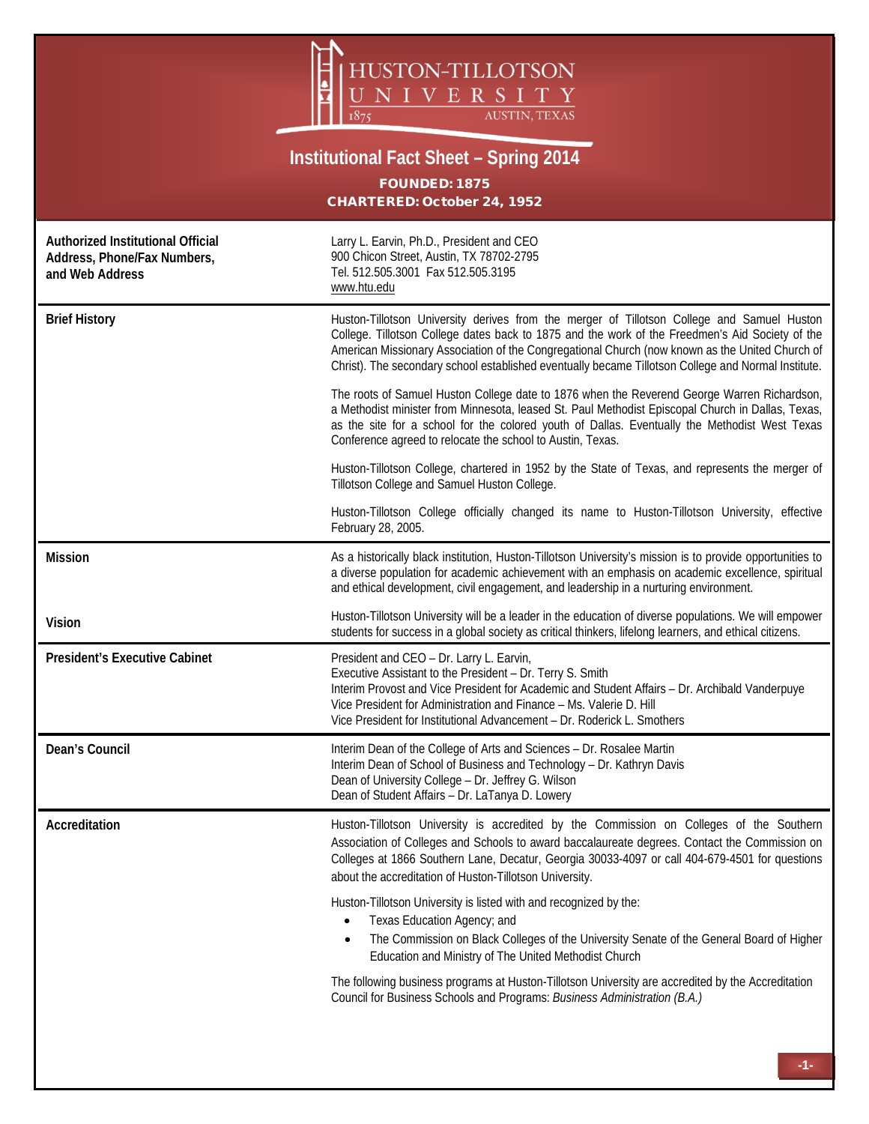

## **Institutional Fact Sheet – Spring 2014**

FOUNDED: 1875 CHARTERED: October 24, 1952

| Authorized Institutional Official<br>Address, Phone/Fax Numbers,<br>and Web Address | Larry L. Earvin, Ph.D., President and CEO<br>900 Chicon Street, Austin, TX 78702-2795<br>Tel. 512.505.3001 Fax 512.505.3195<br>www.htu.edu                                                                                                                                                                                                                                                              |
|-------------------------------------------------------------------------------------|---------------------------------------------------------------------------------------------------------------------------------------------------------------------------------------------------------------------------------------------------------------------------------------------------------------------------------------------------------------------------------------------------------|
| <b>Brief History</b>                                                                | Huston-Tillotson University derives from the merger of Tillotson College and Samuel Huston<br>College. Tillotson College dates back to 1875 and the work of the Freedmen's Aid Society of the<br>American Missionary Association of the Congregational Church (now known as the United Church of<br>Christ). The secondary school established eventually became Tillotson College and Normal Institute. |
|                                                                                     | The roots of Samuel Huston College date to 1876 when the Reverend George Warren Richardson,<br>a Methodist minister from Minnesota, leased St. Paul Methodist Episcopal Church in Dallas, Texas,<br>as the site for a school for the colored youth of Dallas. Eventually the Methodist West Texas<br>Conference agreed to relocate the school to Austin, Texas.                                         |
|                                                                                     | Huston-Tillotson College, chartered in 1952 by the State of Texas, and represents the merger of<br>Tillotson College and Samuel Huston College.                                                                                                                                                                                                                                                         |
|                                                                                     | Huston-Tillotson College officially changed its name to Huston-Tillotson University, effective<br>February 28, 2005.                                                                                                                                                                                                                                                                                    |
| <b>Mission</b>                                                                      | As a historically black institution, Huston-Tillotson University's mission is to provide opportunities to<br>a diverse population for academic achievement with an emphasis on academic excellence, spiritual<br>and ethical development, civil engagement, and leadership in a nurturing environment.                                                                                                  |
| <b>Vision</b>                                                                       | Huston-Tillotson University will be a leader in the education of diverse populations. We will empower<br>students for success in a global society as critical thinkers, lifelong learners, and ethical citizens.                                                                                                                                                                                        |
| <b>President's Executive Cabinet</b>                                                | President and CEO - Dr. Larry L. Earvin,<br>Executive Assistant to the President - Dr. Terry S. Smith<br>Interim Provost and Vice President for Academic and Student Affairs - Dr. Archibald Vanderpuye<br>Vice President for Administration and Finance - Ms. Valerie D. Hill                                                                                                                          |
|                                                                                     | Vice President for Institutional Advancement - Dr. Roderick L. Smothers                                                                                                                                                                                                                                                                                                                                 |
| Dean's Council                                                                      | Interim Dean of the College of Arts and Sciences - Dr. Rosalee Martin<br>Interim Dean of School of Business and Technology - Dr. Kathryn Davis<br>Dean of University College - Dr. Jeffrey G. Wilson<br>Dean of Student Affairs - Dr. LaTanya D. Lowery                                                                                                                                                 |
| Accreditation                                                                       | Huston-Tillotson University is accredited by the Commission on Colleges of the Southern<br>Association of Colleges and Schools to award baccalaureate degrees. Contact the Commission on<br>Colleges at 1866 Southern Lane, Decatur, Georgia 30033-4097 or call 404-679-4501 for questions<br>about the accreditation of Huston-Tillotson University.                                                   |
|                                                                                     | Huston-Tillotson University is listed with and recognized by the:<br>Texas Education Agency; and<br>٠<br>The Commission on Black Colleges of the University Senate of the General Board of Higher<br>Education and Ministry of The United Methodist Church                                                                                                                                              |
|                                                                                     | The following business programs at Huston-Tillotson University are accredited by the Accreditation<br>Council for Business Schools and Programs: Business Administration (B.A.)                                                                                                                                                                                                                         |